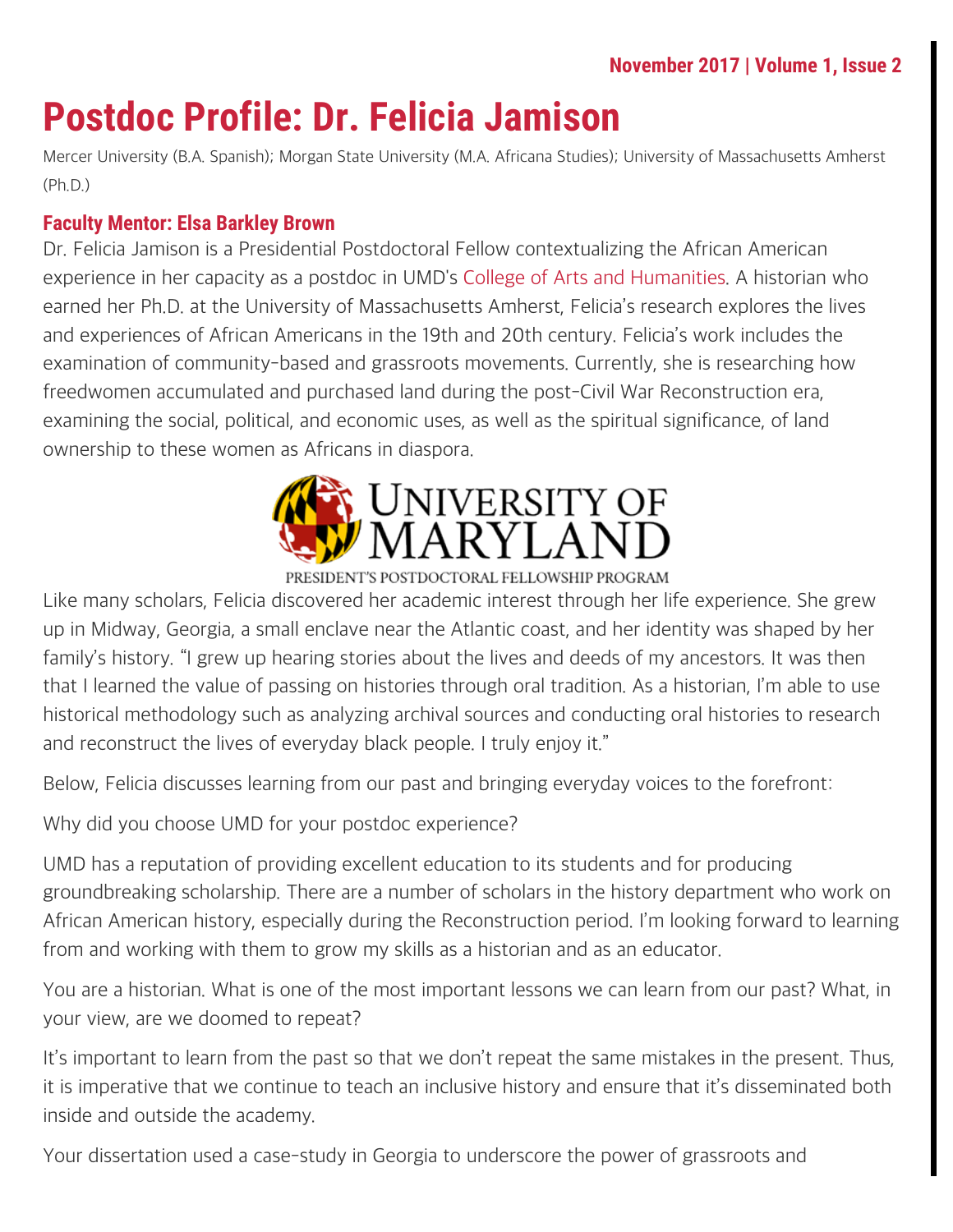# **Postdoc Profile: Dr. Felicia Jamison**

Mercer University (B.A. Spanish); Morgan State University (M.A. Africana Studies); University of Massachusetts Amherst (Ph.D.)

#### **Faculty Mentor: Elsa Barkley Brown**

Dr. Felicia Jamison is a Presidential Postdoctoral Fellow contextualizing the African American experience in her capacity as a postdoc in UMD's [College of Arts and Humanities](http://arhu.umd.edu/). A historian who earned her Ph.D. at the University of Massachusetts Amherst, Felicia's research explores the lives and experiences of African Americans in the 19th and 20th century. Felicia's work includes the examination of community-based and grassroots movements. Currently, she is researching how freedwomen accumulated and purchased land during the post-Civil War Reconstruction era, examining the social, political, and economic uses, as well as the spiritual significance, of land ownership to these women as Africans in diaspora.



#### PRESIDENT'S POSTDOCTORAL FELLOWSHIP PROGRAM

Like many scholars, Felicia discovered her academic interest through her life experience. She grew up in Midway, Georgia, a small enclave near the Atlantic coast, and her identity was shaped by her family's history. "I grew up hearing stories about the lives and deeds of my ancestors. It was then that I learned the value of passing on histories through oral tradition. As a historian, I'm able to use historical methodology such as analyzing archival sources and conducting oral histories to research and reconstruct the lives of everyday black people. I truly enjoy it."

Below, Felicia discusses learning from our past and bringing everyday voices to the forefront:

Why did you choose UMD for your postdoc experience?

UMD has a reputation of providing excellent education to its students and for producing groundbreaking scholarship. There are a number of scholars in the history department who work on African American history, especially during the Reconstruction period. I'm looking forward to learning from and working with them to grow my skills as a historian and as an educator.

You are a historian. What is one of the most important lessons we can learn from our past? What, in your view, are we doomed to repeat?

It's important to learn from the past so that we don't repeat the same mistakes in the present. Thus, it is imperative that we continue to teach an inclusive history and ensure that it's disseminated both inside and outside the academy.

Your dissertation used a case-study in Georgia to underscore the power of grassroots and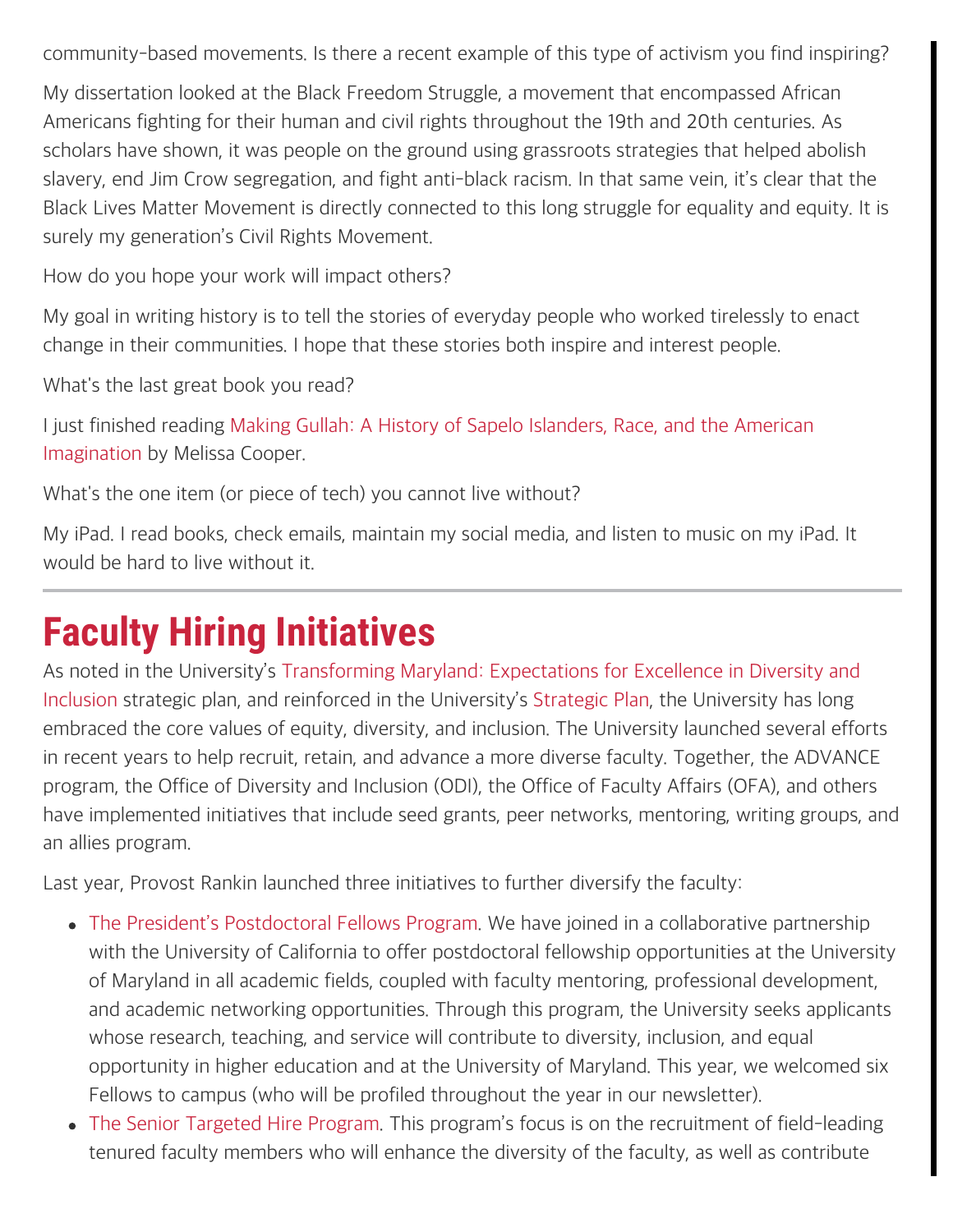community-based movements. Is there a recent example of this type of activism you find inspiring?

My dissertation looked at the Black Freedom Struggle, a movement that encompassed African Americans fighting for their human and civil rights throughout the 19th and 20th centuries. As scholars have shown, it was people on the ground using grassroots strategies that helped abolish slavery, end Jim Crow segregation, and fight anti-black racism. In that same vein, it's clear that the Black Lives Matter Movement is directly connected to this long struggle for equality and equity. It is surely my generation's Civil Rights Movement.

How do you hope your work will impact others?

My goal in writing history is to tell the stories of everyday people who worked tirelessly to enact change in their communities. I hope that these stories both inspire and interest people.

What's the last great book you read?

I just finished reading [Making Gullah: A History of Sapelo Islanders, Race, and the American](https://www.amazon.com/Making-Gullah-Islanders-American-Imagination/dp/1469632683) [Imagination](https://www.amazon.com/Making-Gullah-Islanders-American-Imagination/dp/1469632683) by Melissa Cooper.

What's the one item (or piece of tech) you cannot live without?

My iPad. I read books, check emails, maintain my social media, and listen to music on my iPad. It would be hard to live without it.

# **Faculty Hiring Initiatives**

As noted in the University's [Transforming Maryland: Expectations for Excellence in Diversity and](https://www.provost.umd.edu/Documents/Strategic_Plan_for_Diversity.pdf) [Inclusion](https://www.provost.umd.edu/Documents/Strategic_Plan_for_Diversity.pdf) strategic plan, and reinforced in the University's [Strategic Plan](https://www.provost.umd.edu/sp15/2016StrategicPlanUpdateFinal.pdf), the University has long embraced the core values of equity, diversity, and inclusion. The University launched several efforts in recent years to help recruit, retain, and advance a more diverse faculty. Together, the ADVANCE program, the Office of Diversity and Inclusion (ODI), the Office of Faculty Affairs (OFA), and others have implemented initiatives that include seed grants, peer networks, mentoring, writing groups, and an allies program.

Last year, Provost Rankin launched three initiatives to further diversify the faculty:

- [The President's Postdoctoral Fellows Program](https://faculty.umd.edu/presidentspostdoc/index.html). We have joined in a collaborative partnership with the University of California to offer postdoctoral fellowship opportunities at the University of Maryland in all academic fields, coupled with faculty mentoring, professional development, and academic networking opportunities. Through this program, the University seeks applicants whose research, teaching, and service will contribute to diversity, inclusion, and equal opportunity in higher education and at the University of Maryland. This year, we welcomed six Fellows to campus (who will be profiled throughout the year in our newsletter).
- [The Senior Targeted Hire Program](https://faculty.umd.edu/appointment/hiring.html). This program's focus is on the recruitment of field-leading tenured faculty members who will enhance the diversity of the faculty, as well as contribute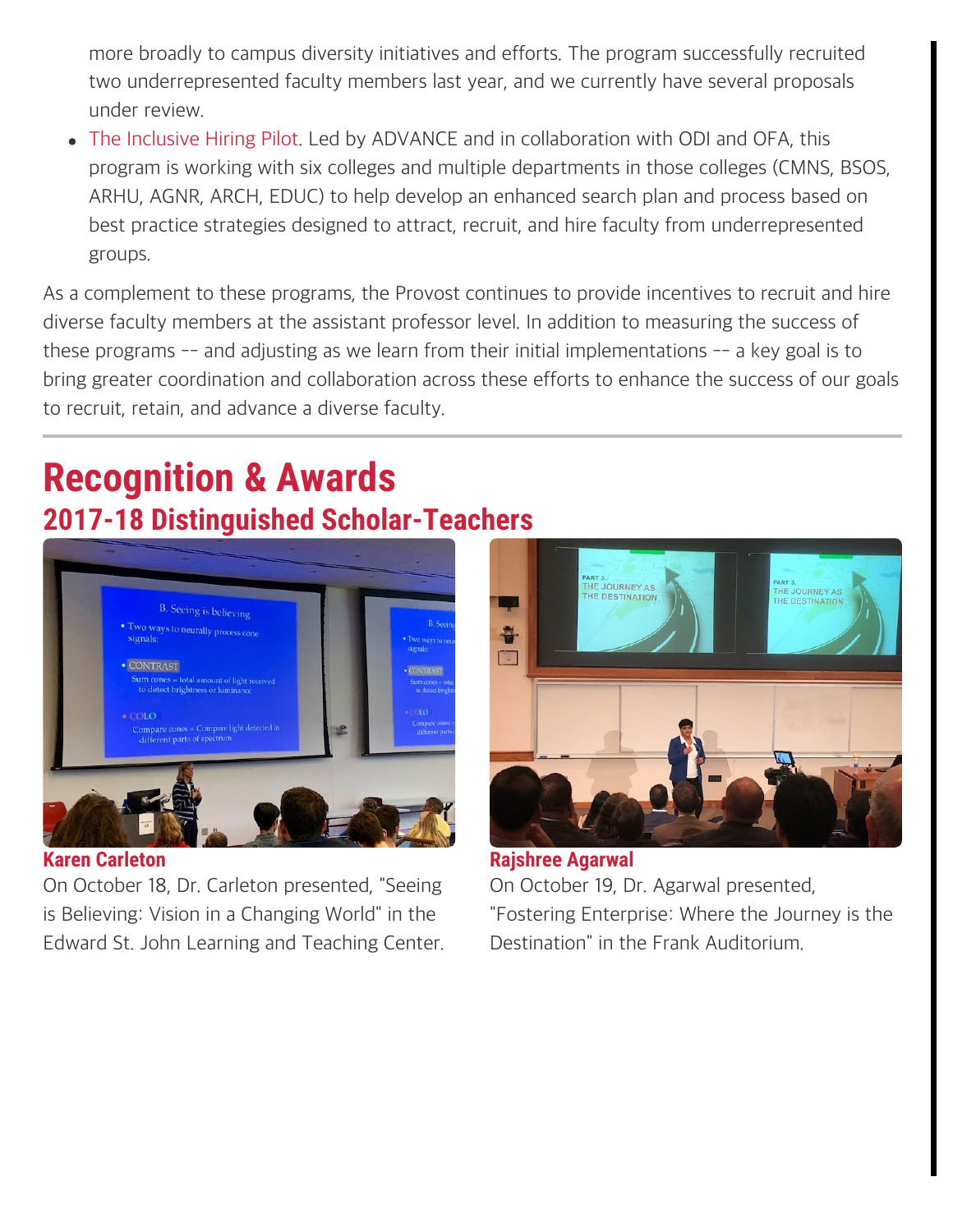more broadly to campus diversity initiatives and efforts. The program successfully recruited two underrepresented faculty members last year, and we currently have several proposals under review.

[The Inclusive Hiring Pilot.](https://faculty.umd.edu/appointment/documents/bestpractices.pdf) Led by ADVANCE and in collaboration with ODI and OFA, this program is working with six colleges and multiple departments in those colleges (CMNS, BSOS, ARHU, AGNR, ARCH, EDUC) to help develop an enhanced search plan and process based on best practice strategies designed to attract, recruit, and hire faculty from underrepresented groups.

As a complement to these programs, the Provost continues to provide incentives to recruit and hire diverse faculty members at the assistant professor level. In addition to measuring the success of these programs -- and adjusting as we learn from their initial implementations -- a key goal is to bring greater coordination and collaboration across these efforts to enhance the success of our goals to recruit, retain, and advance a diverse faculty.

## **Recognition & Awards 2017-18 Distinguished Scholar-Teachers**



**Karen Carleton**

On October 18, Dr. Carleton presented, "Seeing is Believing: Vision in a Changing World" in the Edward St. John Learning and Teaching Center.



**Rajshree Agarwal** On October 19, Dr. Agarwal presented, "Fostering Enterprise: Where the Journey is the Destination" in the Frank Auditorium.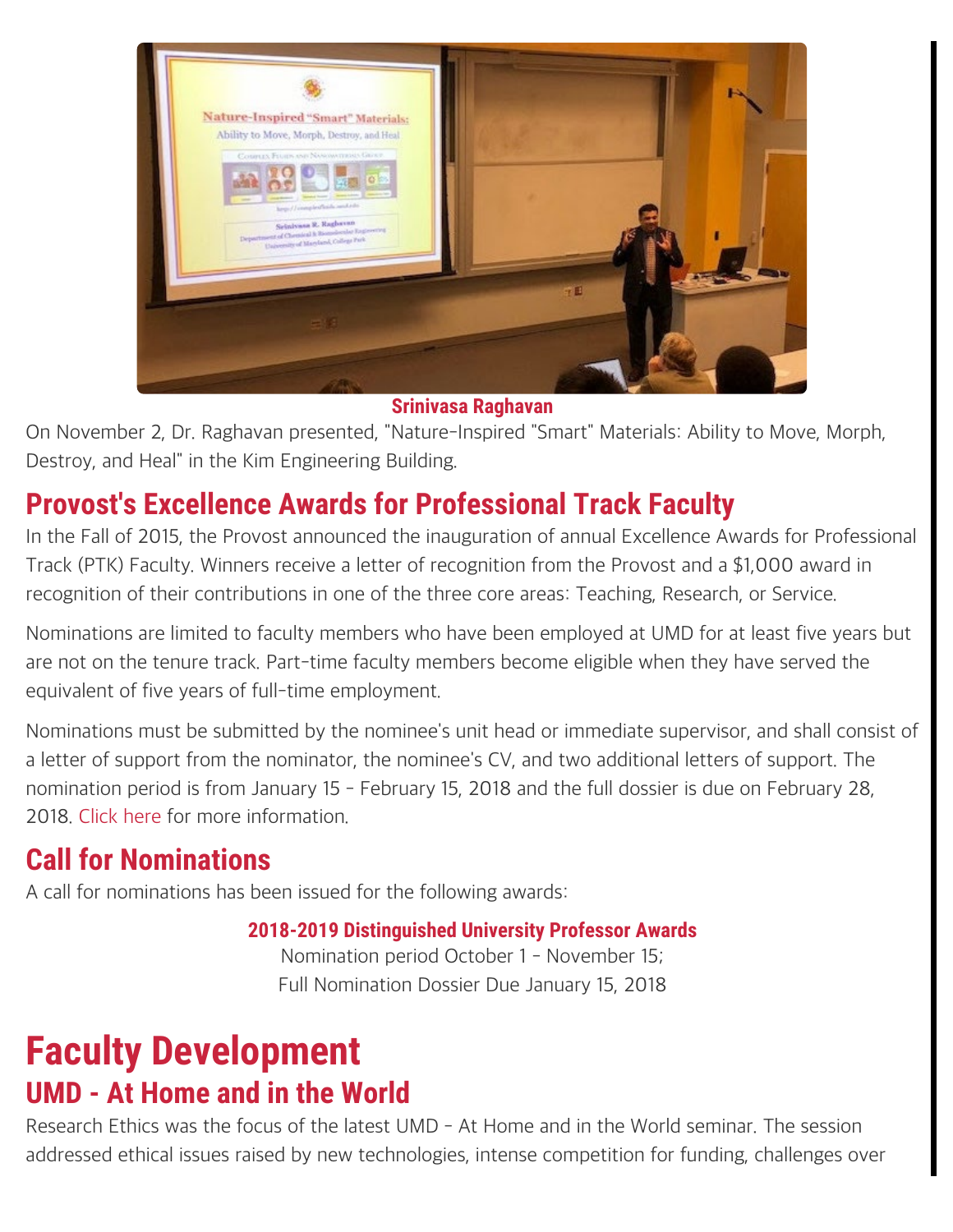

#### **Srinivasa Raghavan**

On November 2, Dr. Raghavan presented, "Nature-Inspired "Smart" Materials: Ability to Move, Morph, Destroy, and Heal" in the Kim Engineering Building.

### **Provost's Excellence Awards for Professional Track Faculty**

In the Fall of 2015, the Provost announced the inauguration of annual Excellence Awards for Professional Track (PTK) Faculty. Winners receive a letter of recognition from the Provost and a \$1,000 award in recognition of their contributions in one of the three core areas: Teaching, Research, or Service.

Nominations are limited to faculty members who have been employed at UMD for at least five years but are not on the tenure track. Part-time faculty members become eligible when they have served the equivalent of five years of full-time employment.

Nominations must be submitted by the nominee's unit head or immediate supervisor, and shall consist of a letter of support from the nominator, the nominee's CV, and two additional letters of support. The nomination period is from January 15 - February 15, 2018 and the full dossier is due on February 28, 2018. [Click here](https://www.faculty.umd.edu/awards/instr_ptk.html) for more information.

### **Call for Nominations**

A call for nominations has been issued for the following awards:

#### **2018-2019 Distinguished University Professor Awards**

Nomination period October 1 - November 15; Full Nomination Dossier Due January 15, 2018

### **Faculty Development UMD - At Home and in the World**

Research Ethics was the focus of the latest UMD - At Home and in the World seminar. The session addressed ethical issues raised by new technologies, intense competition for funding, challenges over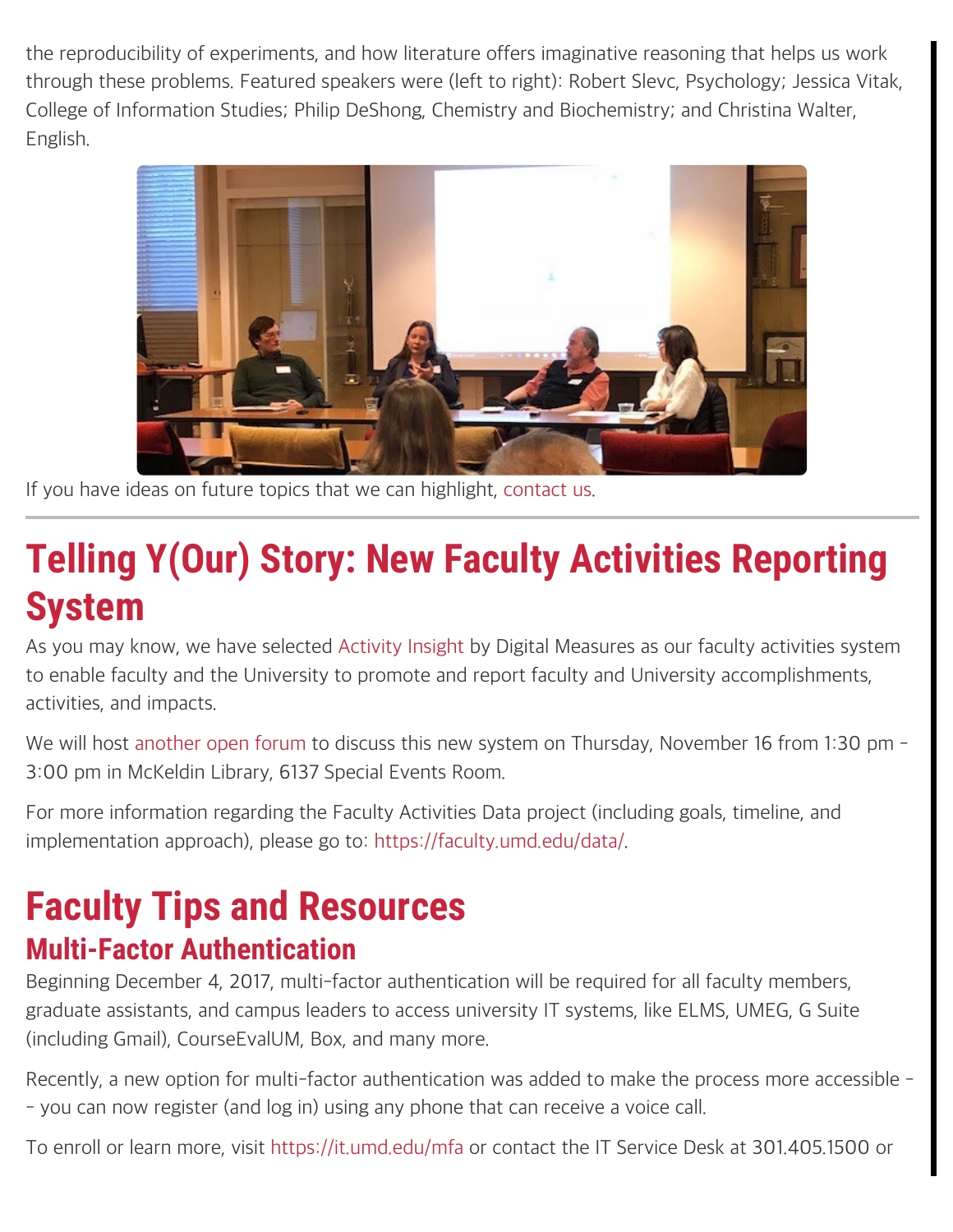the reproducibility of experiments, and how literature offers imaginative reasoning that helps us work through these problems. Featured speakers were (left to right): Robert Slevc, Psychology; Jessica Vitak, College of Information Studies; Philip DeShong, Chemistry and Biochemistry; and Christina Walter, English.



If you have ideas on future topics that we can highlight, [contact us.](mailto:faculty@umd.edu)

# **Telling Y(Our) Story: New Faculty Activities Reporting System**

As you may know, we have selected [Activity Insight](https://www.digitalmeasures.com/) by Digital Measures as our faculty activities system to enable faculty and the University to promote and report faculty and University accomplishments, activities, and impacts.

We will host [another open forum](https://umd-facultyactivities-openforum.eventbrite.com/) to discuss this new system on Thursday, November 16 from 1:30 pm -3:00 pm in McKeldin Library, 6137 Special Events Room.

For more information regarding the Faculty Activities Data project (including goals, timeline, and implementation approach), please go to:<https://faculty.umd.edu/data/>.

## **Faculty Tips and Resources Multi-Factor Authentication**

Beginning December 4, 2017, multi-factor authentication will be required for all faculty members, graduate assistants, and campus leaders to access university IT systems, like ELMS, UMEG, G Suite (including Gmail), CourseEvalUM, Box, and many more.

Recently, a new option for multi-factor authentication was added to make the process more accessible - - you can now register (and log in) using any phone that can receive a voice call.

To enroll or learn more, visit<https://it.umd.edu/mfa> or contact the IT Service Desk at 301.405.1500 or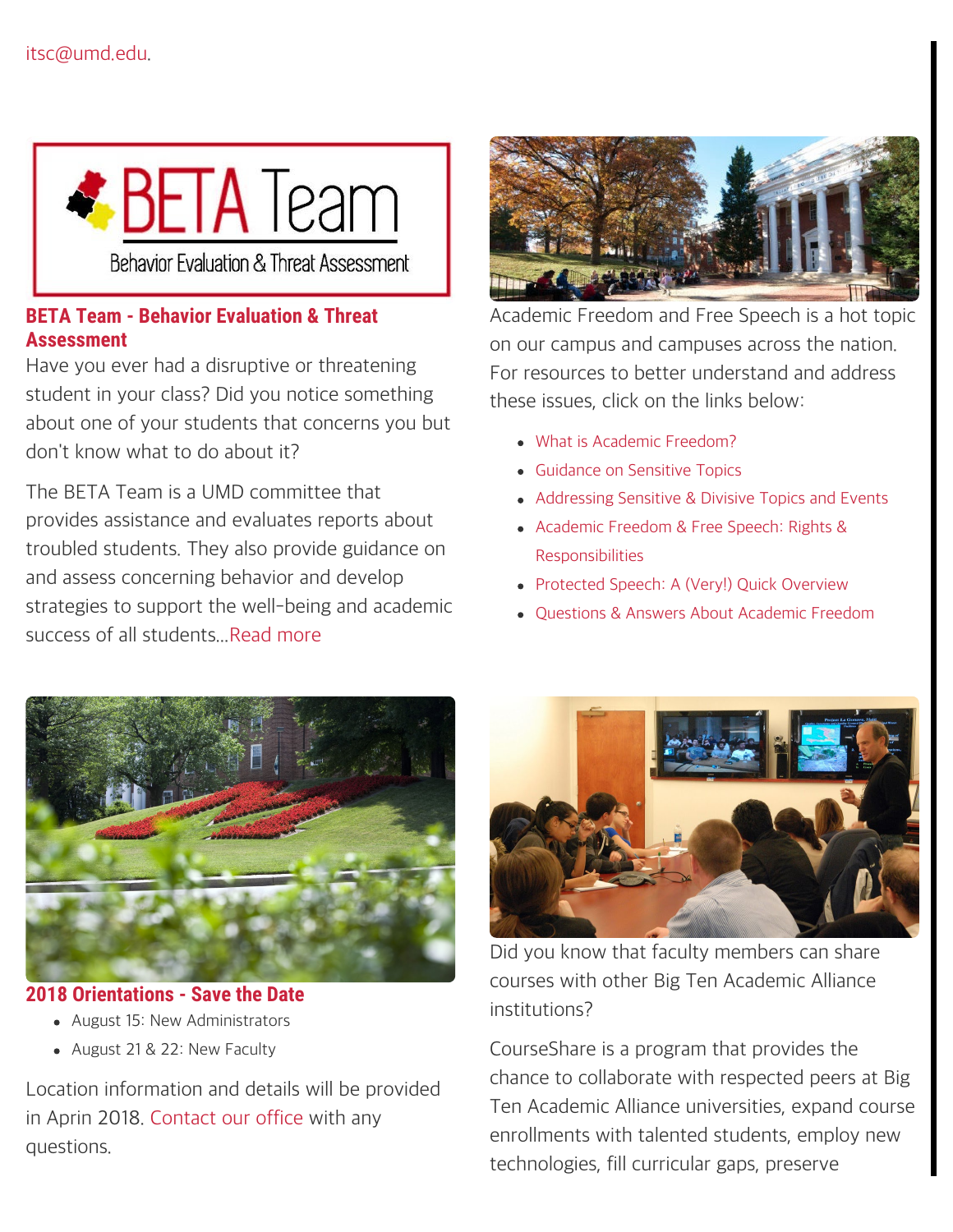

#### **BETA Team - Behavior Evaluation & Threat Assessment**

Have you ever had a disruptive or threatening student in your class? Did you notice something about one of your students that concerns you but don't know what to do about it?

The BETA Team is a UMD committee that provides assistance and evaluates reports about troubled students. They also provide guidance on and assess concerning behavior and develop strategies to support the well-being and academic success of all students..[.Read more](https://www.studentaffairs.umd.edu/staff-faculty/beta-team#/about-the-beta-team)



Academic Freedom and Free Speech is a hot topic on our campus and campuses across the nation. For resources to better understand and address these issues, click on the links below:

- [What is Academic Freedom?](https://faculty.umd.edu/news/documents/academicfreedom.pdf)
- [Guidance on Sensitive Topics](https://faculty.umd.edu/news/documents/sensitivetopics.pdf)
- [Addressing Sensitive & Divisive Topics and Events](https://faculty.umd.edu/news/documents/sensitivetopicsevents.pdf)
- [Academic Freedom & Free Speech: Rights &](https://faculty.umd.edu/news/documents/afbertot.pdf) [Responsibilities](https://faculty.umd.edu/news/documents/afbertot.pdf)
- [Protected Speech: A \(Very!\) Quick Overview](https://faculty.umd.edu/news/documents/protectedspeech.pdf)
- Ouestions & Answers About Academic Freedom



#### **2018 Orientations - Save the Date**

- August 15: New Administrators
- August 21 & 22: New Faculty

Location information and details will be provided in Aprin 2018. [Contact our office](mailto:faculty@umd.edu) with any questions.



Did you know that faculty members can share courses with other Big Ten Academic Alliance institutions?

CourseShare is a program that provides the chance to collaborate with respected peers at Big Ten Academic Alliance universities, expand course enrollments with talented students, employ new technologies, fill curricular gaps, preserve